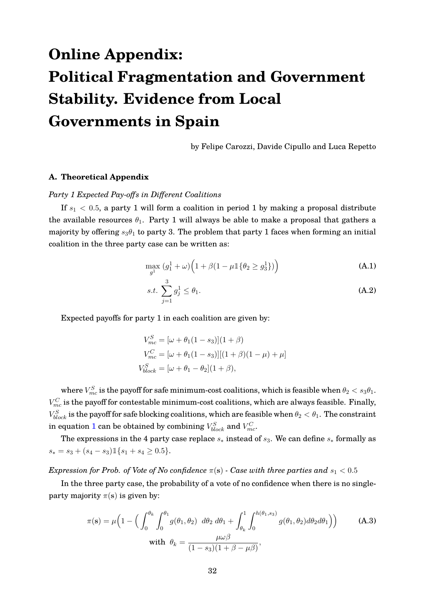# **Online Appendix: Political Fragmentation and Government Stability. Evidence from Local Governments in Spain**

by Felipe Carozzi, Davide Cipullo and Luca Repetto

## **A. Theoretical Appendix**

#### *Party 1 Expected Pay-offs in Different Coalitions*

If  $s_1 < 0.5$ , a party 1 will form a coalition in period 1 by making a proposal distribute the available resources  $\theta_1$ . Party 1 will always be able to make a proposal that gathers a majority by offering  $s_3\theta_1$  to party 3. The problem that party 1 faces when forming an initial coalition in the three party case can be written as:

$$
\max_{g^1} \left( g_1^1 + \omega \right) \left( 1 + \beta \left( 1 - \mu \mathbb{1} \{ \theta_2 \ge g_3^1 \} \right) \right) \tag{A.1}
$$

$$
s.t. \sum_{j=1}^{3} g_j^1 \le \theta_1. \tag{A.2}
$$

Expected payoffs for party 1 in each coalition are given by:

$$
V_{mc}^{S} = [\omega + \theta_1(1 - s_3)](1 + \beta)
$$
  
\n
$$
V_{mc}^{C} = [\omega + \theta_1(1 - s_3)][(1 + \beta)(1 - \mu) + \mu]
$$
  
\n
$$
V_{block}^{S} = [\omega + \theta_1 - \theta_2](1 + \beta),
$$

where  $V_{mc}^{S}$  is the payoff for safe minimum-cost coalitions, which is feasible when  $\theta_2 < s_3\theta_1.$  $V_{mc}^C$  is the payoff for contestable minimum-cost coalitions, which are always feasible. Finally,  $V_{block}^S$  is the payoff for safe blocking coalitions, which are feasible when  $\theta_2<\theta_1.$  The constraint in equation  $1$  can be obtained by combining  $V_{block}^S$  and  $V_{mc}^C$ .

The expressions in the 4 party case replace  $s_*$  instead of  $s_3$ . We can define  $s_*$  formally as  $s_* = s_3 + (s_4 - s_3) \mathbb{1} \{ s_1 + s_4 \geq 0.5 \}.$ 

*Expression for Prob. of Vote of No confidence*  $\pi(s)$  *- Case with three parties and*  $s_1 < 0.5$ 

In the three party case, the probability of a vote of no confidence when there is no singleparty majority  $\pi(s)$  is given by:

$$
\pi(\mathbf{s}) = \mu \Big( 1 - \Big( \int_0^{\theta_k} \int_0^{\theta_1} g(\theta_1, \theta_2) \ d\theta_2 \ d\theta_1 + \int_{\theta_k}^1 \int_0^{h(\theta_1, s_3)} g(\theta_1, \theta_2) d\theta_2 d\theta_1 \Big) \Big) \qquad \text{(A.3)}
$$
\nwith  $\theta_k = \frac{\mu \omega \beta}{(1 - s_3)(1 + \beta - \mu \beta)},$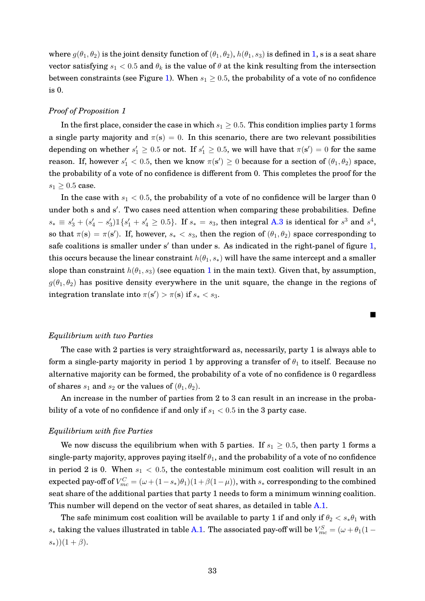where  $g(\theta_1, \theta_2)$  is the joint density function of  $(\theta_1, \theta_2)$ ,  $h(\theta_1, s_3)$  is defined in 1, s is a seat share vector satisfying  $s_1 < 0.5$  and  $\theta_k$  is the value of  $\theta$  at the kink resulting from the intersection between constraints (see Figure 1). When  $s_1 \geq 0.5$ , the probability of a vote of no confidence is 0.

## *Proof of Proposition 1*

In the first place, consider the case in which  $s_1 \geq 0.5$ . This condition implies party 1 forms a single party majority and  $\pi(s) = 0$ . In this scenario, there are two relevant possibilities depending on whether  $s_1' \geq 0.5$  or not. If  $s_1' \geq 0.5$ , we will have that  $\pi(\mathbf{s}') = 0$  for the same reason. If, however  $s_1' < 0.5$ , then we know  $\pi(\mathbf{s}') \geq 0$  because for a section of  $(\theta_1, \theta_2)$  space, the probability of a vote of no confidence is different from 0. This completes the proof for the  $s_1 \geq 0.5$  case.

In the case with  $s_1 < 0.5$ , the probability of a vote of no confidence will be larger than 0 under both s and s'. Two cases need attention when comparing these probabilities. Define  $s_* \equiv s'_3 + (s'_4 - s'_3) \mathbb{1}\{s'_1 + s'_4 \ge 0.5\}$ . If  $s_* = s_3$ , then integral A.3 is identical for  $s^3$  and  $s^4$ , so that  $\pi(s) = \pi(s')$ . If, however,  $s_* < s_3$ , then the region of  $(\theta_1, \theta_2)$  space corresponding to safe coalitions is smaller under s' than under s. As indicated in the right-panel of figure 1, this occurs because the linear constraint  $h(\theta_1, s_*)$  will have the same intercept and a smaller slope than constraint  $h(\theta_1, s_3)$  (see equation 1 in the main text). Given that, by assumption,  $g(\theta_1, \theta_2)$  has positive density everywhere in the unit square, the change in the regions of integration translate into  $\pi(\mathbf{s}') > \pi(\mathbf{s})$  if  $s_* < s_3$ .

#### *Equilibrium with two Parties*

The case with 2 parties is very straightforward as, necessarily, party 1 is always able to form a single-party majority in period 1 by approving a transfer of  $\theta_1$  to itself. Because no alternative majority can be formed, the probability of a vote of no confidence is 0 regardless of shares  $s_1$  and  $s_2$  or the values of  $(\theta_1, \theta_2)$ .

Г

An increase in the number of parties from 2 to 3 can result in an increase in the probability of a vote of no confidence if and only if  $s_1 < 0.5$  in the 3 party case.

## *Equilibrium with five Parties*

We now discuss the equilibrium when with 5 parties. If  $s_1 \geq 0.5$ , then party 1 forms a single-party majority, approves paying itself  $\theta_1$ , and the probability of a vote of no confidence in period 2 is 0. When  $s_1 < 0.5$ , the contestable minimum cost coalition will result in an expected pay-off of  $V_{mc}^C = (\omega + (1-s_*)\theta_1)(1+\beta(1-\mu))$ , with  $s_*$  corresponding to the combined seat share of the additional parties that party 1 needs to form a minimum winning coalition. This number will depend on the vector of seat shares, as detailed in table A.1.

The safe minimum cost coalition will be available to party 1 if and only if  $\theta_2 < s_*\theta_1$  with  $s_*$  taking the values illustrated in table A.1. The associated pay-off will be  $V_{mc}^S = (\omega + \theta_1(1-\omega_1))$  $(s_*)(1+\beta).$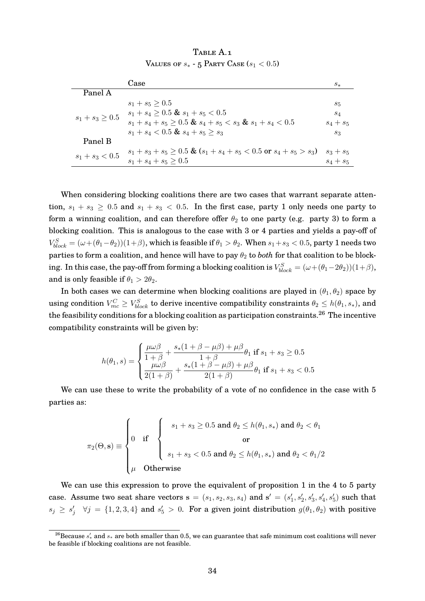|                      | Case                                                                       | $s_{*}$     |
|----------------------|----------------------------------------------------------------------------|-------------|
| Panel A              |                                                                            |             |
| $s_1 + s_3 \geq 0.5$ | $s_1 + s_5 \geq 0.5$                                                       | $S_5$       |
|                      | $s_1 + s_4 > 0.5$ & $s_1 + s_5 < 0.5$                                      | $s_4$       |
|                      | $s_1 + s_4 + s_5 \geq 0.5$ & $s_4 + s_5 < s_3$ & $s_1 + s_4 < 0.5$         | $s_4 + s_5$ |
|                      | $s_1 + s_4 < 0.5$ & $s_4 + s_5 \geq s_3$                                   | $s_3$       |
| Panel B              |                                                                            |             |
| $s_1 + s_3 < 0.5$    | $s_1 + s_3 + s_5 \geq 0.5$ & $(s_1 + s_4 + s_5 < 0.5$ or $s_4 + s_5 > s_3$ | $s_3 + s_5$ |
|                      | $s_1 + s_4 + s_5 \geq 0.5$                                                 | $s_4 + s_5$ |

TABLE A.1 VALUES OF  $s_*$  - 5 PARTY CASE  $(s_1 < 0.5)$ 

When considering blocking coalitions there are two cases that warrant separate attention,  $s_1 + s_3 \geq 0.5$  and  $s_1 + s_3 < 0.5$ . In the first case, party 1 only needs one party to form a winning coalition, and can therefore offer  $\theta_2$  to one party (e.g. party 3) to form a blocking coalition. This is analogous to the case with 3 or 4 parties and yields a pay-off of  $V_{block}^S=(\omega+(\theta_1-\theta_2))(1+\beta),$  which is feasible if  $\theta_1>\theta_2.$  When  $s_1+s_3< 0.5,$  party  $1$  needs two parties to form a coalition, and hence will have to pay  $\theta_2$  to *both* for that coalition to be blocking. In this case, the pay-off from forming a blocking coalition is  $V_{block}^S=(\omega+(\theta_1-2\theta_2))(1+\beta),$ and is only feasible if  $\theta_1 > 2\theta_2$ .

In both cases we can determine when blocking coalitions are played in  $(\theta_1, \theta_2)$  space by using condition  $V_{mc}^C\geq V_{block}^S$  to derive incentive compatibility constraints  $\theta_2\leq h(\theta_1,s_*),$  and the feasibility conditions for a blocking coalition as participation constraints.<sup>26</sup> The incentive compatibility constraints will be given by:

$$
h(\theta_1, s) = \begin{cases} \frac{\mu \omega \beta}{1 + \beta} + \frac{s_*(1 + \beta - \mu \beta) + \mu \beta}{1 + \beta} \theta_1 \text{ if } s_1 + s_3 \ge 0.5\\ \frac{\mu \omega \beta}{2(1 + \beta)} + \frac{s_*(1 + \beta - \mu \beta) + \mu \beta}{2(1 + \beta)} \theta_1 \text{ if } s_1 + s_3 < 0.5 \end{cases}
$$

We can use these to write the probability of a vote of no confidence in the case with 5 parties as:

$$
\pi_2(\Theta, \mathbf{s}) \equiv \begin{cases}\n0 & \text{if } \begin{cases}\ns_1 + s_3 \ge 0.5 \text{ and } \theta_2 \le h(\theta_1, s_*) \text{ and } \theta_2 < \theta_1 \\
0 & \text{or } \end{cases} \\
\mu & \text{Otherwise}\n\end{cases}
$$

We can use this expression to prove the equivalent of proposition 1 in the 4 to 5 party case. Assume two seat share vectors  $s = (s_1, s_2, s_3, s_4)$  and  $s' = (s'_1, s'_2, s'_3, s'_4, s'_5)$  such that  $s_j \geq s'_j$   $\forall j = \{1, 2, 3, 4\}$  and  $s'_5 > 0$ . For a given joint distribution  $g(\theta_1, \theta_2)$  with positive

 $^{26}$ Because  $s'_*$  and  $s_*$  are both smaller than 0.5, we can guarantee that safe minimum cost coalitions will never be feasible if blocking coalitions are not feasible.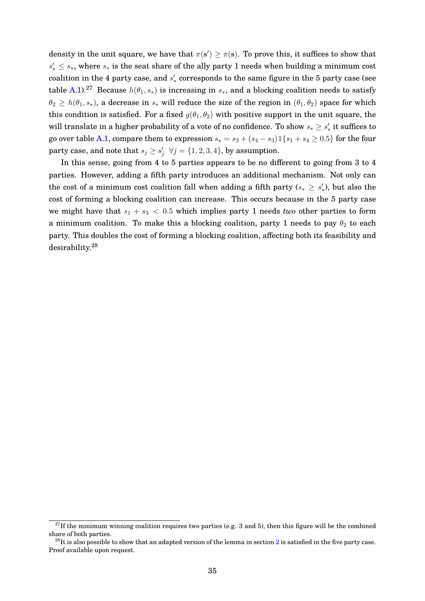density in the unit square, we have that  $\pi(s') \geq \pi(s)$ . To prove this, it suffices to show that  $s'_* \leq s_*$ , where  $s_*$  is the seat share of the ally party 1 needs when building a minimum cost coalition in the 4 party case, and  $s'_{*}$  corresponds to the same figure in the 5 party case (see table A.1).<sup>27</sup> Because  $h(\theta_1, s_*)$  is increasing in  $s_*$ , and a blocking coalition needs to satisfy  $\theta_2 \geq h(\theta_1, s_*)$ , a decrease in  $s_*$  will reduce the size of the region in  $(\theta_1, \theta_2)$  space for which this condition is satisfied. For a fixed  $g(\theta_1, \theta_2)$  with positive support in the unit square, the will translate in a higher probability of a vote of no confidence. To show  $s_* \geq s'_*$  it suffices to go over table A.1, compare them to expression  $s_* = s_3 + (s_4 - s_3) \mathbb{1}\{s_1 + s_4 \geq 0.5\}$  for the four party case, and note that  $s_j \geq s'_j$   $\forall j = \{1, 2, 3, 4\}$ , by assumption.

In this sense, going from 4 to 5 parties appears to be no different to going from 3 to 4 parties. However, adding a fifth party introduces an additional mechanism. Not only can the cost of a minimum cost coalition fall when adding a fifth party ( $s_* \geq s_*'$ ), but also the cost of forming a blocking coalition can increase. This occurs because in the 5 party case we might have that  $s_1 + s_3 < 0.5$  which implies party 1 needs *two* other parties to form a minimum coalition. To make this a blocking coalition, party 1 needs to pay  $\theta_2$  to each party. This doubles the cost of forming a blocking coalition, affecting both its feasibility and desirability.<sup>28</sup>

 $27$ If the minimum winning coalition requires two parties (e.g. 3 and 5), then this figure will be the combined share of both parties.

 $^{28}$ It is also possible to show that an adapted version of the lemma in section 2 is satisfied in the five party case. Proof available upon request.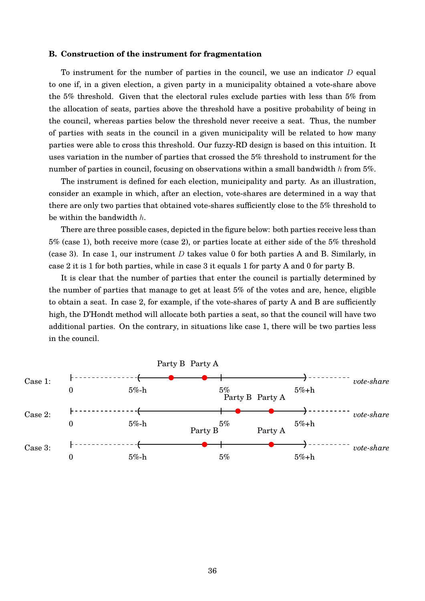## **B. Construction of the instrument for fragmentation**

To instrument for the number of parties in the council, we use an indicator  $D$  equal to one if, in a given election, a given party in a municipality obtained a vote-share above the 5% threshold. Given that the electoral rules exclude parties with less than 5% from the allocation of seats, parties above the threshold have a positive probability of being in the council, whereas parties below the threshold never receive a seat. Thus, the number of parties with seats in the council in a given municipality will be related to how many parties were able to cross this threshold. Our fuzzy-RD design is based on this intuition. It uses variation in the number of parties that crossed the 5% threshold to instrument for the number of parties in council, focusing on observations within a small bandwidth h from 5%.

The instrument is defined for each election, municipality and party. As an illustration, consider an example in which, after an election, vote-shares are determined in a way that there are only two parties that obtained vote-shares sufficiently close to the 5% threshold to be within the bandwidth h.

There are three possible cases, depicted in the figure below: both parties receive less than 5% (case 1), both receive more (case 2), or parties locate at either side of the 5% threshold (case 3). In case 1, our instrument  $D$  takes value 0 for both parties A and B. Similarly, in case 2 it is 1 for both parties, while in case 3 it equals 1 for party A and 0 for party B.

It is clear that the number of parties that enter the council is partially determined by the number of parties that manage to get at least 5% of the votes and are, hence, eligible to obtain a seat. In case 2, for example, if the vote-shares of party A and B are sufficiently high, the D'Hondt method will allocate both parties a seat, so that the council will have two additional parties. On the contrary, in situations like case 1, there will be two parties less in the council.

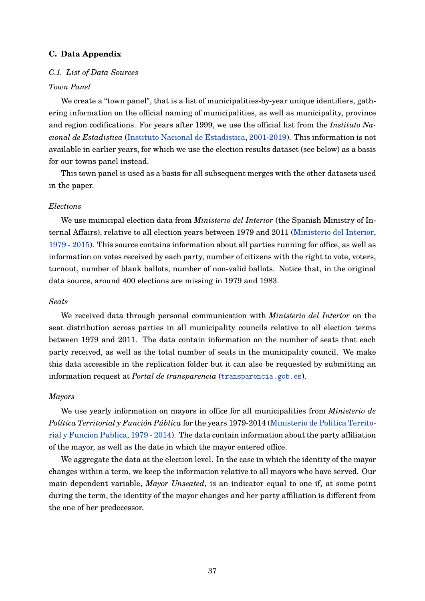## **C. Data Appendix**

## *C.1. List of Data Sources*

## *Town Panel*

We create a "town panel", that is a list of municipalities-by-year unique identifiers, gathering information on the official naming of municipalities, as well as municipality, province and region codifications. For years after 1999, we use the official list from the *Instituto Nacional de Estadistica* (Instituto Nacional de Estadistica, 2001-2019). This information is not available in earlier years, for which we use the election results dataset (see below) as a basis for our towns panel instead.

This town panel is used as a basis for all subsequent merges with the other datasets used in the paper.

#### *Elections*

We use municipal election data from *Ministerio del Interior* (the Spanish Ministry of Internal Affairs), relative to all election years between 1979 and 2011 (Ministerio del Interior, 1979 - 2015). This source contains information about all parties running for office, as well as information on votes received by each party, number of citizens with the right to vote, voters, turnout, number of blank ballots, number of non-valid ballots. Notice that, in the original data source, around 400 elections are missing in 1979 and 1983.

## *Seats*

We received data through personal communication with *Ministerio del Interior* on the seat distribution across parties in all municipality councils relative to all election terms between 1979 and 2011. The data contain information on the number of seats that each party received, as well as the total number of seats in the municipality council. We make this data accessible in the replication folder but it can also be requested by submitting an information request at *Portal de transparencia* (<transparencia.gob.es>).

#### *Mayors*

We use yearly information on mayors in office for all municipalities from *Ministerio de Política Territorial y Función Pública* for the years 1979-2014 (Ministerio de Politica Territorial y Funcion Publica, 1979 - 2014). The data contain information about the party affiliation of the mayor, as well as the date in which the mayor entered office.

We aggregate the data at the election level. In the case in which the identity of the mayor changes within a term, we keep the information relative to all mayors who have served. Our main dependent variable, *Mayor Unseated*, is an indicator equal to one if, at some point during the term, the identity of the mayor changes and her party affiliation is different from the one of her predecessor.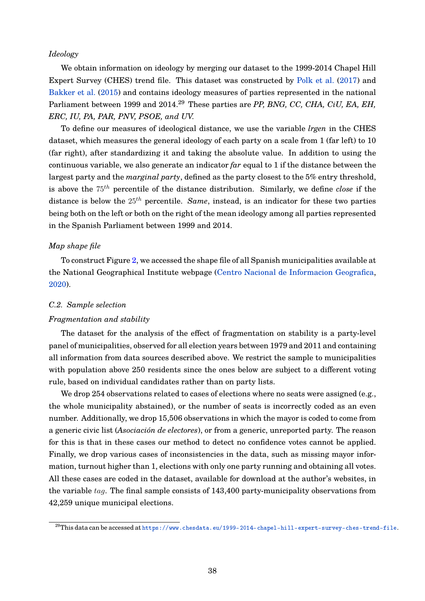## *Ideology*

We obtain information on ideology by merging our dataset to the 1999-2014 Chapel Hill Expert Survey (CHES) trend file. This dataset was constructed by Polk et al. (2017) and Bakker et al. (2015) and contains ideology measures of parties represented in the national Parliament between 1999 and 2014.<sup>29</sup> These parties are *PP, BNG, CC, CHA, CiU, EA, EH, ERC, IU, PA, PAR, PNV, PSOE, and UV.*

To define our measures of ideological distance, we use the variable *lrgen* in the CHES dataset, which measures the general ideology of each party on a scale from 1 (far left) to 10 (far right), after standardizing it and taking the absolute value. In addition to using the continuous variable, we also generate an indicator *far* equal to 1 if the distance between the largest party and the *marginal party*, defined as the party closest to the 5% entry threshold, is above the  $75<sup>th</sup>$  percentile of the distance distribution. Similarly, we define *close* if the distance is below the  $25<sup>th</sup>$  percentile. *Same*, instead, is an indicator for these two parties being both on the left or both on the right of the mean ideology among all parties represented in the Spanish Parliament between 1999 and 2014.

## *Map shape file*

To construct Figure 2, we accessed the shape file of all Spanish municipalities available at the National Geographical Institute webpage (Centro Nacional de Informacion Geografica, 2020).

#### *C.2. Sample selection*

#### *Fragmentation and stability*

The dataset for the analysis of the effect of fragmentation on stability is a party-level panel of municipalities, observed for all election years between 1979 and 2011 and containing all information from data sources described above. We restrict the sample to municipalities with population above 250 residents since the ones below are subject to a different voting rule, based on individual candidates rather than on party lists.

We drop 254 observations related to cases of elections where no seats were assigned (e.g., the whole municipality abstained), or the number of seats is incorrectly coded as an even number. Additionally, we drop 15,506 observations in which the mayor is coded to come from a generic civic list (*Asociación de electores*), or from a generic, unreported party. The reason for this is that in these cases our method to detect no confidence votes cannot be applied. Finally, we drop various cases of inconsistencies in the data, such as missing mayor information, turnout higher than 1, elections with only one party running and obtaining all votes. All these cases are coded in the dataset, available for download at the author's websites, in the variable tag. The final sample consists of 143,400 party-municipality observations from 42,259 unique municipal elections.

<sup>29</sup>This data can be accessed at <https://www.chesdata.eu/1999-2014-chapel-hill-expert-survey-ches-trend-file>.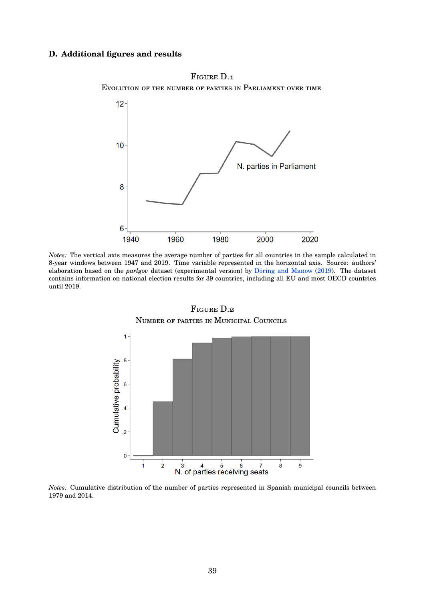## **D. Additional figures and results**



Evolution of the number of parties in Parliament over time

Figure D.1

*Notes:* The vertical axis measures the average number of parties for all countries in the sample calculated in 8-year windows between 1947 and 2019. Time variable represented in the horizontal axis. Source: authors' elaboration based on the *parlgov* dataset (experimental version) by Döring and Manow (2019). The dataset contains information on national election results for 39 countries, including all EU and most OECD countries until 2019.



Figure D.2 Number of parties in Municipal Councils

*Notes:* Cumulative distribution of the number of parties represented in Spanish municipal councils between 1979 and 2014.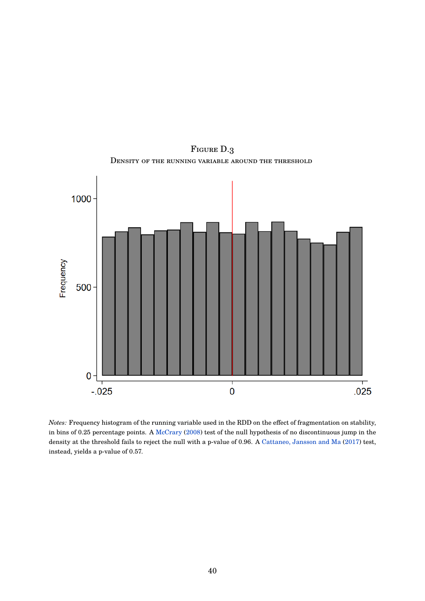

FIGURE D.3 Density of the running variable around the threshold

*Notes:* Frequency histogram of the running variable used in the RDD on the effect of fragmentation on stability, in bins of 0.25 percentage points. A McCrary (2008) test of the null hypothesis of no discontinuous jump in the density at the threshold fails to reject the null with a p-value of 0.96. A Cattaneo, Jansson and Ma (2017) test, instead, yields a p-value of 0.57.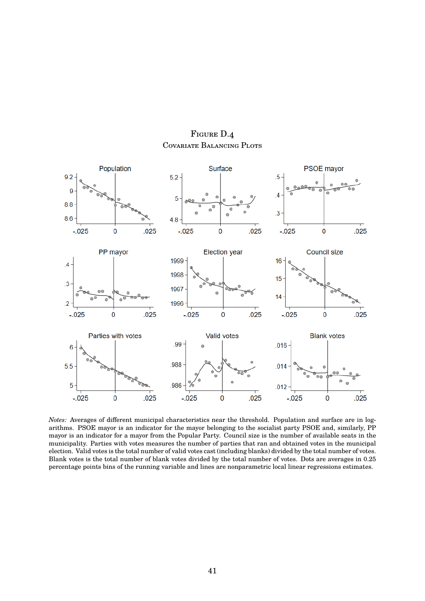

FIGURE D.4 Covariate Balancing Plots

*Notes:* Averages of different municipal characteristics near the threshold. Population and surface are in logarithms. PSOE mayor is an indicator for the mayor belonging to the socialist party PSOE and, similarly, PP mayor is an indicator for a mayor from the Popular Party. Council size is the number of available seats in the municipality. Parties with votes measures the number of parties that ran and obtained votes in the municipal election. Valid votes is the total number of valid votes cast (including blanks) divided by the total number of votes. Blank votes is the total number of blank votes divided by the total number of votes. Dots are averages in 0.25 percentage points bins of the running variable and lines are nonparametric local linear regressions estimates.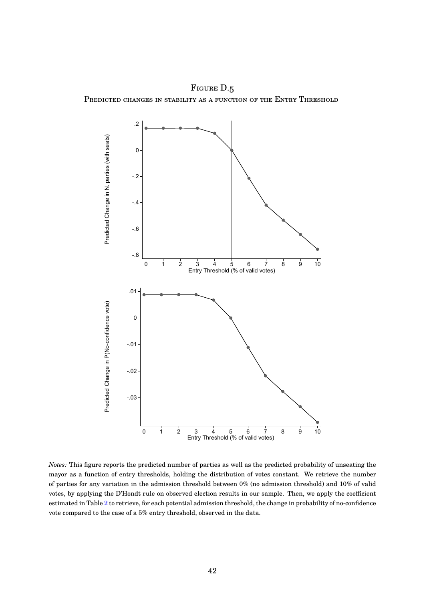FIGURE D.5 PREDICTED CHANGES IN STABILITY AS A FUNCTION OF THE ENTRY THRESHOLD



*Notes:* This figure reports the predicted number of parties as well as the predicted probability of unseating the mayor as a function of entry thresholds, holding the distribution of votes constant. We retrieve the number of parties for any variation in the admission threshold between 0% (no admission threshold) and 10% of valid votes, by applying the D'Hondt rule on observed election results in our sample. Then, we apply the coefficient estimated in Table 2 to retrieve, for each potential admission threshold, the change in probability of no-confidence vote compared to the case of a 5% entry threshold, observed in the data.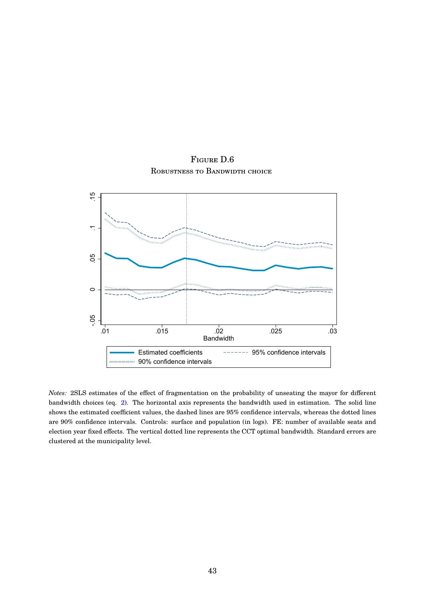Figure D.6 Robustness to Bandwidth choice



*Notes:* 2SLS estimates of the effect of fragmentation on the probability of unseating the mayor for different bandwidth choices (eq. 2). The horizontal axis represents the bandwidth used in estimation. The solid line shows the estimated coefficient values, the dashed lines are 95% confidence intervals, whereas the dotted lines are 90% confidence intervals. Controls: surface and population (in logs). FE: number of available seats and election year fixed effects. The vertical dotted line represents the CCT optimal bandwidth. Standard errors are clustered at the municipality level.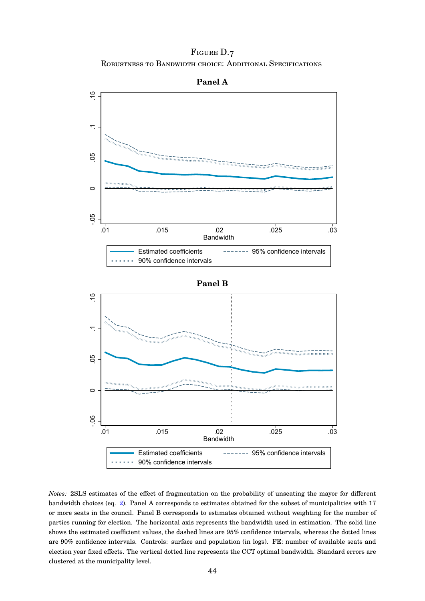FIGURE D.7 Robustness to Bandwidth choice: Additional Specifications



*Notes:* 2SLS estimates of the effect of fragmentation on the probability of unseating the mayor for different bandwidth choices (eq. 2). Panel A corresponds to estimates obtained for the subset of municipalities with 17 or more seats in the council. Panel B corresponds to estimates obtained without weighting for the number of parties running for election. The horizontal axis represents the bandwidth used in estimation. The solid line shows the estimated coefficient values, the dashed lines are 95% confidence intervals, whereas the dotted lines are 90% confidence intervals. Controls: surface and population (in logs). FE: number of available seats and election year fixed effects. The vertical dotted line represents the CCT optimal bandwidth. Standard errors are clustered at the municipality level.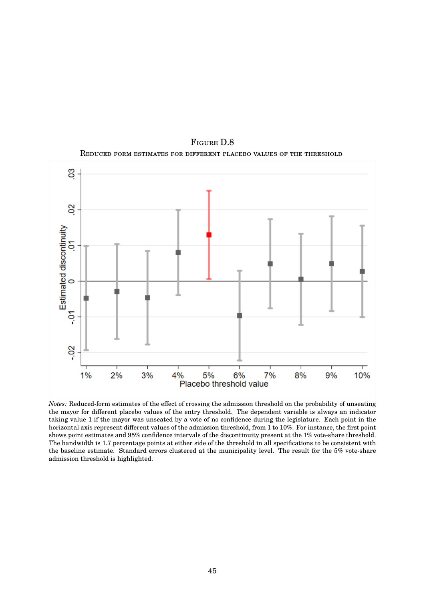

Figure D.8 Reduced form estimates for different placebo values of the threshold

*Notes:* Reduced-form estimates of the effect of crossing the admission threshold on the probability of unseating the mayor for different placebo values of the entry threshold. The dependent variable is always an indicator taking value 1 if the mayor was unseated by a vote of no confidence during the legislature. Each point in the horizontal axis represent different values of the admission threshold, from 1 to 10%. For instance, the first point shows point estimates and 95% confidence intervals of the discontinuity present at the 1% vote-share threshold. The bandwidth is 1.7 percentage points at either side of the threshold in all specifications to be consistent with the baseline estimate. Standard errors clustered at the municipality level. The result for the 5% vote-share admission threshold is highlighted.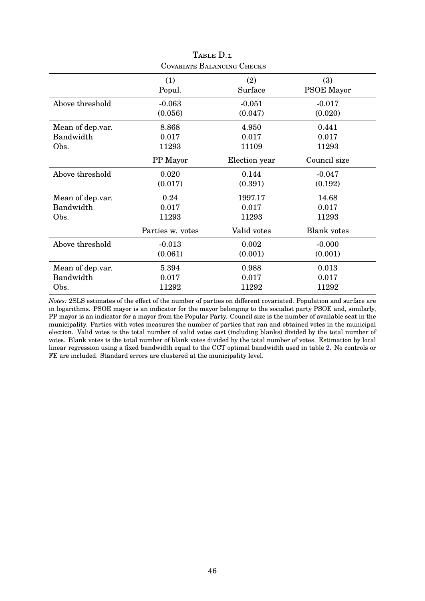| COVARIATE BALANCING CHECKS |                  |               |                    |  |  |
|----------------------------|------------------|---------------|--------------------|--|--|
|                            | (1)              | (2)           | (3)                |  |  |
|                            | Popul.           | Surface       | <b>PSOE Mayor</b>  |  |  |
| Above threshold            | $-0.063$         | $-0.051$      | $-0.017$           |  |  |
|                            | (0.056)          | (0.047)       | (0.020)            |  |  |
| Mean of dep.var.           | 8.868            | 4.950         | 0.441              |  |  |
| Bandwidth                  | 0.017            | 0.017         | 0.017              |  |  |
| Obs.                       | 11293            | 11109         | 11293              |  |  |
|                            | PP Mayor         | Election year | Council size       |  |  |
| Above threshold            | 0.020            | 0.144         | $-0.047$           |  |  |
|                            | (0.017)          | (0.391)       | (0.192)            |  |  |
| Mean of dep.var.           | 0.24             | 1997.17       | 14.68              |  |  |
| Bandwidth                  | 0.017            | 0.017         | 0.017              |  |  |
| Obs.                       | 11293            | 11293         | 11293              |  |  |
|                            | Parties w. votes | Valid votes   | <b>Blank</b> votes |  |  |
| Above threshold            | $-0.013$         | 0.002         | $-0.000$           |  |  |
|                            | (0.061)          | (0.001)       | (0.001)            |  |  |
| Mean of dep.var.           | 5.394            | 0.988         | 0.013              |  |  |
| Bandwidth                  | 0.017            | 0.017         | 0.017              |  |  |
| Obs.                       | 11292            | 11292         | 11292              |  |  |

*Notes:* 2SLS estimates of the effect of the number of parties on different covariated. Population and surface are in logarithms. PSOE mayor is an indicator for the mayor belonging to the socialist party PSOE and, similarly, PP mayor is an indicator for a mayor from the Popular Party. Council size is the number of available seat in the municipality. Parties with votes measures the number of parties that ran and obtained votes in the municipal election. Valid votes is the total number of valid votes cast (including blanks) divided by the total number of votes. Blank votes is the total number of blank votes divided by the total number of votes. Estimation by local linear regression using a fixed bandwidth equal to the CCT optimal bandwidth used in table 2. No controls or FE are included. Standard errors are clustered at the municipality level.

| TABLE D.1               |  |
|-------------------------|--|
| variate Ralancing Check |  |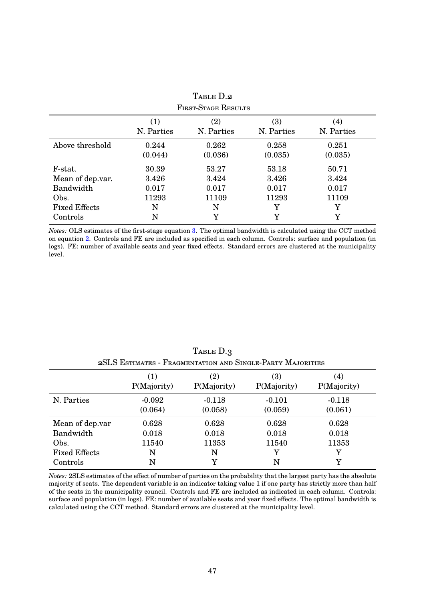| <b>FIRST-STAGE RESULTS</b> |                   |                   |                   |                                 |  |  |
|----------------------------|-------------------|-------------------|-------------------|---------------------------------|--|--|
|                            | (1)<br>N. Parties | (2)<br>N. Parties | (3)<br>N. Parties | $\left( 4\right)$<br>N. Parties |  |  |
| Above threshold            | 0.244<br>(0.044)  | 0.262<br>(0.036)  | 0.258<br>(0.035)  | 0.251<br>(0.035)                |  |  |
| F-stat.                    | 30.39             | 53.27             | 53.18             | 50.71                           |  |  |
| Mean of dep.var.           | 3.426             | 3.424             | 3.426             | 3.424                           |  |  |
| Bandwidth                  | 0.017             | 0.017             | 0.017             | 0.017                           |  |  |
| Obs.                       | 11293             | 11109             | 11293             | 11109                           |  |  |
| <b>Fixed Effects</b>       | N                 | N                 | Y                 | Y                               |  |  |
| Controls                   | N                 | Y                 | Y                 | Y                               |  |  |

TABLE D.2

*Notes:* OLS estimates of the first-stage equation 3. The optimal bandwidth is calculated using the CCT method on equation 2. Controls and FE are included as specified in each column. Controls: surface and population (in logs). FE: number of available seats and year fixed effects. Standard errors are clustered at the municipality level.

|                      | (1)<br>P(Majority)  | (2)<br>P(Majority)  | (3)<br>P(Majority)  | (4)<br>P(Majority)  |
|----------------------|---------------------|---------------------|---------------------|---------------------|
| N. Parties           | $-0.092$<br>(0.064) | $-0.118$<br>(0.058) | $-0.101$<br>(0.059) | $-0.118$<br>(0.061) |
| Mean of dep.var      | 0.628               | 0.628               | 0.628               | 0.628               |
| Bandwidth            | 0.018               | 0.018               | 0.018               | 0.018               |
| Obs.                 | 11540               | 11353               | 11540               | 11353               |
| <b>Fixed Effects</b> | N                   | N                   | Y                   | Y                   |
| Controls             | N                   | Y                   | N                   | Y                   |

TABLE D.3 2SLS Estimates - Fragmentation and Single-Party Majorities

*Notes:* 2SLS estimates of the effect of number of parties on the probability that the largest party has the absolute majority of seats. The dependent variable is an indicator taking value 1 if one party has strictly more than half of the seats in the municipality council. Controls and FE are included as indicated in each column. Controls: surface and population (in logs). FE: number of available seats and year fixed effects. The optimal bandwidth is calculated using the CCT method. Standard errors are clustered at the municipality level.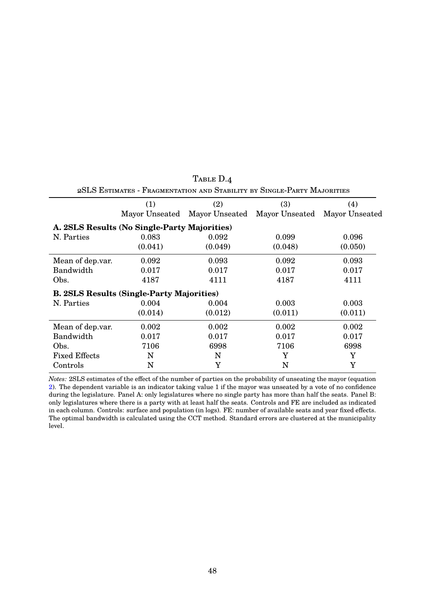| 20LO LISTIMATES - I RAGMENTATION AND OTABILITY BY OINGLE-FARTY MAJORITIES |                                                  |                               |                |                |  |
|---------------------------------------------------------------------------|--------------------------------------------------|-------------------------------|----------------|----------------|--|
|                                                                           | (2)<br>(1)                                       |                               | (3)            | (4)            |  |
|                                                                           |                                                  | Mayor Unseated Mayor Unseated | Mayor Unseated | Mayor Unseated |  |
|                                                                           | A. 2SLS Results (No Single-Party Majorities)     |                               |                |                |  |
| N. Parties                                                                | 0.083                                            | 0.092                         | 0.099          | 0.096          |  |
|                                                                           | (0.041)                                          | (0.049)                       | (0.048)        | (0.050)        |  |
| Mean of dep.var.                                                          | 0.092                                            | 0.093                         | 0.092          | 0.093          |  |
| Bandwidth                                                                 | 0.017                                            | 0.017                         | 0.017          | 0.017          |  |
| Obs.                                                                      | 4187                                             | 4111                          | 4187           | 4111           |  |
|                                                                           | <b>B. 2SLS Results (Single-Party Majorities)</b> |                               |                |                |  |
| N. Parties                                                                | 0.004                                            | 0.004                         | 0.003          | 0.003          |  |
|                                                                           | (0.014)                                          | (0.012)                       | (0.011)        | (0.011)        |  |
| Mean of dep.var.                                                          | 0.002                                            | 0.002                         | 0.002          | 0.002          |  |
| Bandwidth                                                                 | 0.017                                            | 0.017                         | 0.017          | 0.017          |  |
| Obs.                                                                      | 7106                                             | 6998                          | 7106           | 6998           |  |
| <b>Fixed Effects</b>                                                      | N                                                | N                             | Y              | Y              |  |
| Controls                                                                  | N                                                | Y                             | N              | Y              |  |

TABLE D.4 2SLS Estimates - Fragmentation and Stability by Single-Party Majorities

*Notes:* 2SLS estimates of the effect of the number of parties on the probability of unseating the mayor (equation 2). The dependent variable is an indicator taking value 1 if the mayor was unseated by a vote of no confidence during the legislature. Panel A: only legislatures where no single party has more than half the seats. Panel B: only legislatures where there is a party with at least half the seats. Controls and FE are included as indicated in each column. Controls: surface and population (in logs). FE: number of available seats and year fixed effects. The optimal bandwidth is calculated using the CCT method. Standard errors are clustered at the municipality level.